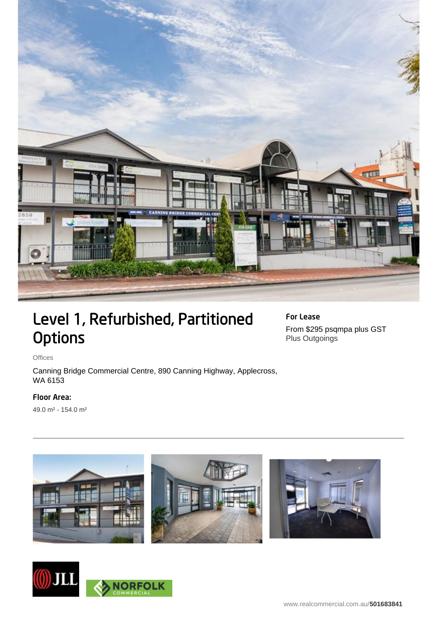

## Level 1, Refurbished, Partitioned **Options**

For Lease From \$295 psqmpa plus GST Plus Outgoings

Offices

Canning Bridge Commercial Centre, 890 Canning Highway, Applecross, WA 6153

## Floor Area:

49.0 m² - 154.0 m²